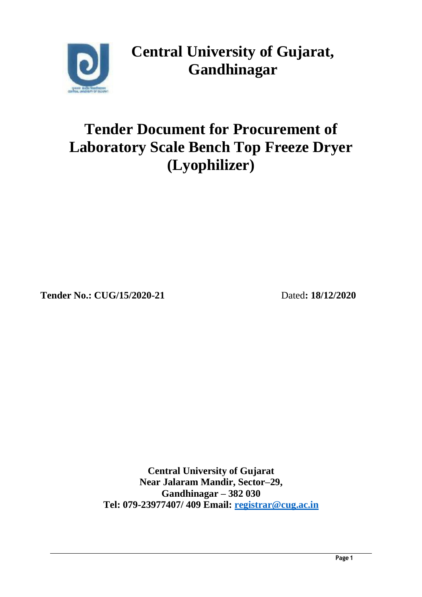

**Central University of Gujarat, Gandhinagar**

# **Tender Document for Procurement of Laboratory Scale Bench Top Freeze Dryer (Lyophilizer)**

**Tender No.: CUG/15/2020-21** Dated**: 18/12/2020**

**Central University of Gujarat Near Jalaram Mandir, Sector–29, Gandhinagar – 382 030 Tel: 079-23977407/ 409 Email: [registrar@cug.ac.in](mailto:registrar@cug.ac.in)**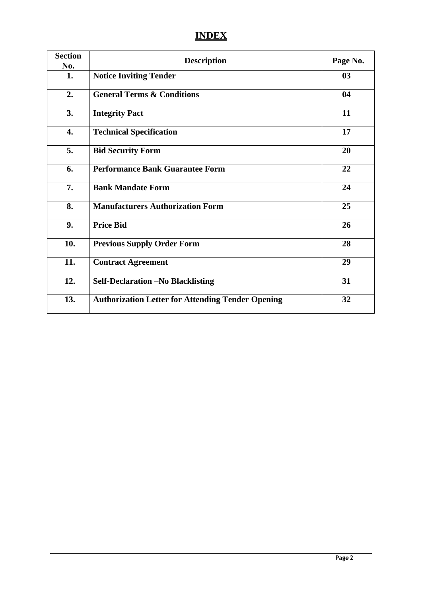# **INDEX**

| <b>Section</b><br>No. | <b>Description</b>                                       | Page No. |
|-----------------------|----------------------------------------------------------|----------|
| 1.                    | <b>Notice Inviting Tender</b>                            | 03       |
| 2.                    | <b>General Terms &amp; Conditions</b>                    | 04       |
| 3.                    | <b>Integrity Pact</b>                                    | 11       |
| 4.                    | <b>Technical Specification</b>                           | 17       |
| 5.                    | <b>Bid Security Form</b>                                 | 20       |
| 6.                    | <b>Performance Bank Guarantee Form</b>                   | 22       |
| 7.                    | <b>Bank Mandate Form</b>                                 | 24       |
| 8.                    | <b>Manufacturers Authorization Form</b>                  | 25       |
| 9.                    | <b>Price Bid</b>                                         | 26       |
| 10.                   | <b>Previous Supply Order Form</b>                        | 28       |
| 11.                   | <b>Contract Agreement</b>                                | 29       |
| 12.                   | <b>Self-Declaration -No Blacklisting</b>                 | 31       |
| 13.                   | <b>Authorization Letter for Attending Tender Opening</b> | 32       |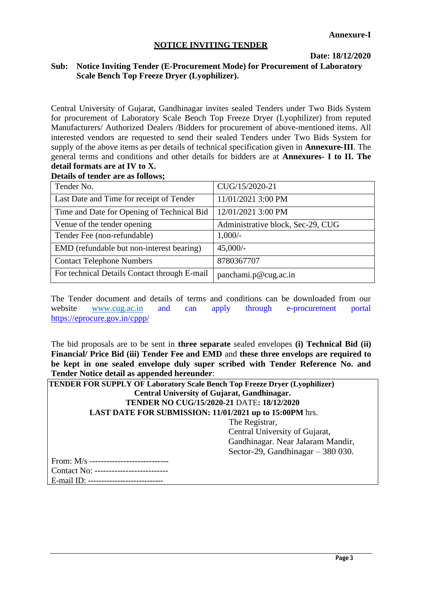#### **NOTICE INVITING TENDER**

**Date: 18/12/2020**

#### **Sub: Notice Inviting Tender (E-Procurement Mode) for Procurement of Laboratory Scale Bench Top Freeze Dryer (Lyophilizer).**

Central University of Gujarat, Gandhinagar invites sealed Tenders under Two Bids System for procurement of Laboratory Scale Bench Top Freeze Dryer (Lyophilizer) from reputed Manufacturers/ Authorized Dealers /Bidders for procurement of above-mentioned items. All interested vendors are requested to send their sealed Tenders under Two Bids System for supply of the above items as per details of technical specification given in **Annexure-III**. The general terms and conditions and other details for bidders are at **Annexures- I to II. The detail formats are at IV to X.**

#### **Details of tender are as follows;**

| Tender No.                                   | CUG/15/2020-21                    |
|----------------------------------------------|-----------------------------------|
| Last Date and Time for receipt of Tender     | 11/01/2021 3:00 PM                |
| Time and Date for Opening of Technical Bid   | 12/01/2021 3:00 PM                |
| Venue of the tender opening                  | Administrative block, Sec-29, CUG |
| Tender Fee (non-refundable)                  | $1,000/-$                         |
| EMD (refundable but non-interest bearing)    | $45,000/-$                        |
| <b>Contact Telephone Numbers</b>             | 8780367707                        |
| For technical Details Contact through E-mail | panchami.p@cug.ac.in              |

The Tender document and details of terms and conditions can be downloaded from our website [www.cug.ac.in](http://www.cug.ac.in/) and can apply through e-procurement portal <https://eprocure.gov.in/cppp/>

The bid proposals are to be sent in **three separate** sealed envelopes **(i) Technical Bid (ii) Financial/ Price Bid (iii) Tender Fee and EMD** and **these three envelops are required to be kept in one sealed envelope duly super scribed with Tender Reference No. and Tender Notice detail as appended hereunder**:

| <b>TENDER FOR SUPPLY OF Laboratory Scale Bench Top Freeze Dryer (Lyophilizer)</b> |  |  |  |  |  |  |
|-----------------------------------------------------------------------------------|--|--|--|--|--|--|
| Central University of Gujarat, Gandhinagar.                                       |  |  |  |  |  |  |
| TENDER NO CUG/15/2020-21 DATE: 18/12/2020                                         |  |  |  |  |  |  |
| LAST DATE FOR SUBMISSION: 11/01/2021 up to 15:00PM hrs.                           |  |  |  |  |  |  |
| The Registrar,                                                                    |  |  |  |  |  |  |
| Central University of Gujarat,                                                    |  |  |  |  |  |  |
| Gandhinagar. Near Jalaram Mandir,                                                 |  |  |  |  |  |  |
| Sector-29, Gandhinagar $-380030$ .                                                |  |  |  |  |  |  |
|                                                                                   |  |  |  |  |  |  |
| Contact No: ---------------------------                                           |  |  |  |  |  |  |
| E-mail ID: -----------------------------                                          |  |  |  |  |  |  |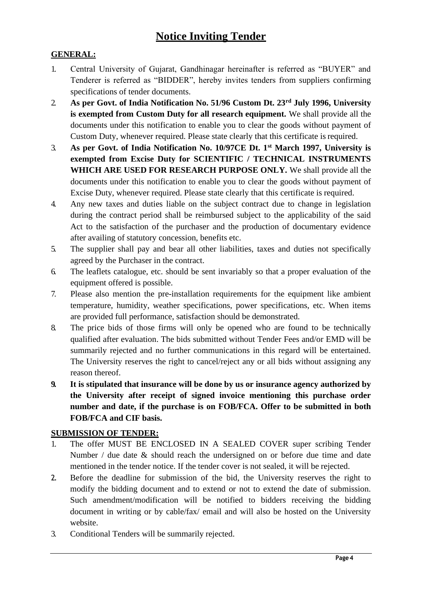# **GENERAL:**

- 1. Central University of Gujarat, Gandhinagar hereinafter is referred as "BUYER" and Tenderer is referred as "BIDDER", hereby invites tenders from suppliers confirming specifications of tender documents.
- 2. **As per Govt. of India Notification No. 51/96 Custom Dt. 23rd July 1996, University is exempted from Custom Duty for all research equipment.** We shall provide all the documents under this notification to enable you to clear the goods without payment of Custom Duty, whenever required. Please state clearly that this certificate is required.
- 3. **As per Govt. of India Notification No. 10/97CE Dt. 1st March 1997, University is exempted from Excise Duty for SCIENTIFIC / TECHNICAL INSTRUMENTS WHICH ARE USED FOR RESEARCH PURPOSE ONLY.** We shall provide all the documents under this notification to enable you to clear the goods without payment of Excise Duty, whenever required. Please state clearly that this certificate is required.
- 4. Any new taxes and duties liable on the subject contract due to change in legislation during the contract period shall be reimbursed subject to the applicability of the said Act to the satisfaction of the purchaser and the production of documentary evidence after availing of statutory concession, benefits etc.
- 5. The supplier shall pay and bear all other liabilities, taxes and duties not specifically agreed by the Purchaser in the contract.
- 6. The leaflets catalogue, etc. should be sent invariably so that a proper evaluation of the equipment offered is possible.
- 7. Please also mention the pre-installation requirements for the equipment like ambient temperature, humidity, weather specifications, power specifications, etc. When items are provided full performance, satisfaction should be demonstrated.
- 8. The price bids of those firms will only be opened who are found to be technically qualified after evaluation. The bids submitted without Tender Fees and/or EMD will be summarily rejected and no further communications in this regard will be entertained. The University reserves the right to cancel/reject any or all bids without assigning any reason thereof.
- **9. It is stipulated that insurance will be done by us or insurance agency authorized by the University after receipt of signed invoice mentioning this purchase order number and date, if the purchase is on FOB/FCA. Offer to be submitted in both FOB/FCA and CIF basis.**

## **SUBMISSION OF TENDER:**

- 1. The offer MUST BE ENCLOSED IN A SEALED COVER super scribing Tender Number / due date & should reach the undersigned on or before due time and date mentioned in the tender notice. If the tender cover is not sealed, it will be rejected.
- 2. Before the deadline for submission of the bid, the University reserves the right to modify the bidding document and to extend or not to extend the date of submission. Such amendment/modification will be notified to bidders receiving the bidding document in writing or by cable/fax/ email and will also be hosted on the University website.
- 3. Conditional Tenders will be summarily rejected.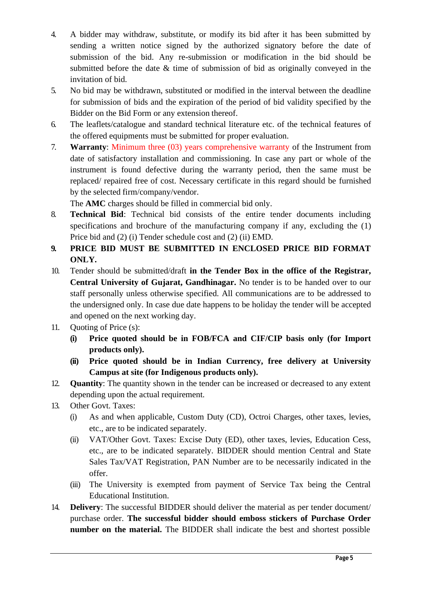- 4. A bidder may withdraw, substitute, or modify its bid after it has been submitted by sending a written notice signed by the authorized signatory before the date of submission of the bid. Any re-submission or modification in the bid should be submitted before the date & time of submission of bid as originally conveyed in the invitation of bid.
- 5. No bid may be withdrawn, substituted or modified in the interval between the deadline for submission of bids and the expiration of the period of bid validity specified by the Bidder on the Bid Form or any extension thereof.
- 6. The leaflets/catalogue and standard technical literature etc. of the technical features of the offered equipments must be submitted for proper evaluation.
- 7. **Warranty**: Minimum three (03) years comprehensive warranty of the Instrument from date of satisfactory installation and commissioning. In case any part or whole of the instrument is found defective during the warranty period, then the same must be replaced/ repaired free of cost. Necessary certificate in this regard should be furnished by the selected firm/company/vendor.

The **AMC** charges should be filled in commercial bid only.

- 8. **Technical Bid**: Technical bid consists of the entire tender documents including specifications and brochure of the manufacturing company if any, excluding the (1) Price bid and (2) (i) Tender schedule cost and (2) (ii) EMD.
- **9. PRICE BID MUST BE SUBMITTED IN ENCLOSED PRICE BID FORMAT ONLY.**
- 10. Tender should be submitted/draft **in the Tender Box in the office of the Registrar, Central University of Gujarat, Gandhinagar.** No tender is to be handed over to our staff personally unless otherwise specified. All communications are to be addressed to the undersigned only. In case due date happens to be holiday the tender will be accepted and opened on the next working day.
- 11. Quoting of Price (s):
	- **(i) Price quoted should be in FOB/FCA and CIF/CIP basis only (for Import products only).**
	- **(ii) Price quoted should be in Indian Currency, free delivery at University Campus at site (for Indigenous products only).**
- 12. **Quantity**: The quantity shown in the tender can be increased or decreased to any extent depending upon the actual requirement.
- 13. Other Govt. Taxes:
	- (i) As and when applicable, Custom Duty (CD), Octroi Charges, other taxes, levies, etc., are to be indicated separately.
	- (ii) VAT/Other Govt. Taxes: Excise Duty (ED), other taxes, levies, Education Cess, etc., are to be indicated separately. BIDDER should mention Central and State Sales Tax/VAT Registration, PAN Number are to be necessarily indicated in the offer.
	- (iii) The University is exempted from payment of Service Tax being the Central Educational Institution.
- 14. **Delivery**: The successful BIDDER should deliver the material as per tender document/ purchase order. **The successful bidder should emboss stickers of Purchase Order number on the material.** The BIDDER shall indicate the best and shortest possible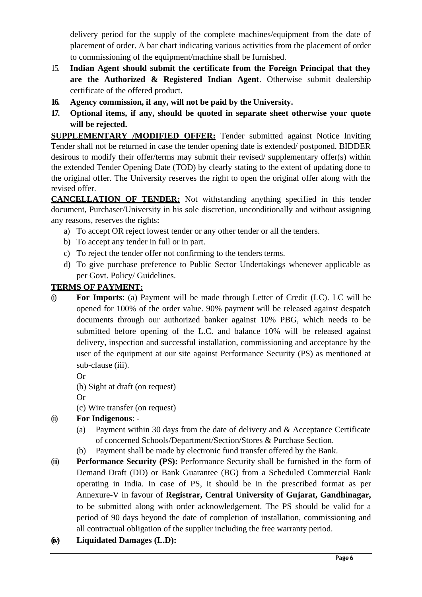delivery period for the supply of the complete machines/equipment from the date of placement of order. A bar chart indicating various activities from the placement of order to commissioning of the equipment/machine shall be furnished.

- 15. **Indian Agent should submit the certificate from the Foreign Principal that they are the Authorized & Registered Indian Agent**. Otherwise submit dealership certificate of the offered product.
- **16. Agency commission, if any, will not be paid by the University.**
- **17. Optional items, if any, should be quoted in separate sheet otherwise your quote will be rejected.**

**SUPPLEMENTARY /MODIFIED OFFER:** Tender submitted against Notice Inviting Tender shall not be returned in case the tender opening date is extended/ postponed. BIDDER desirous to modify their offer/terms may submit their revised/ supplementary offer(s) within the extended Tender Opening Date (TOD) by clearly stating to the extent of updating done to the original offer. The University reserves the right to open the original offer along with the revised offer.

**CANCELLATION OF TENDER:** Not withstanding anything specified in this tender document, Purchaser/University in his sole discretion, unconditionally and without assigning any reasons, reserves the rights:

- a) To accept OR reject lowest tender or any other tender or all the tenders.
- b) To accept any tender in full or in part.
- c) To reject the tender offer not confirming to the tenders terms.
- d) To give purchase preference to Public Sector Undertakings whenever applicable as per Govt. Policy/ Guidelines.

# **TERMS OF PAYMENT:**

(i) **For Imports**: (a) Payment will be made through Letter of Credit (LC). LC will be opened for 100% of the order value. 90% payment will be released against despatch documents through our authorized banker against 10% PBG, which needs to be submitted before opening of the L.C. and balance 10% will be released against delivery, inspection and successful installation, commissioning and acceptance by the user of the equipment at our site against Performance Security (PS) as mentioned at sub-clause (iii).

Or

- (b) Sight at draft (on request)
- Or
- (c) Wire transfer (on request)

# (ii) **For Indigenous**: -

- (a) Payment within 30 days from the date of delivery and & Acceptance Certificate of concerned Schools/Department/Section/Stores & Purchase Section.
- (b) Payment shall be made by electronic fund transfer offered by the Bank.
- (iii) **Performance Security (PS):** Performance Security shall be furnished in the form of Demand Draft (DD) or Bank Guarantee (BG) from a Scheduled Commercial Bank operating in India. In case of PS, it should be in the prescribed format as per Annexure-V in favour of **Registrar, Central University of Gujarat, Gandhinagar,**  to be submitted along with order acknowledgement. The PS should be valid for a period of 90 days beyond the date of completion of installation, commissioning and all contractual obligation of the supplier including the free warranty period.
- **(iv) Liquidated Damages (L.D):**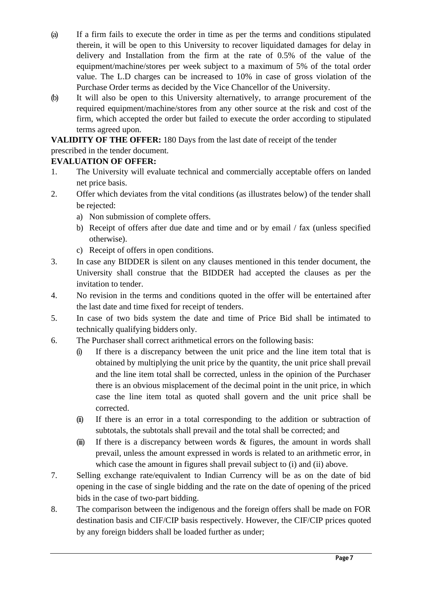- (a) If a firm fails to execute the order in time as per the terms and conditions stipulated therein, it will be open to this University to recover liquidated damages for delay in delivery and Installation from the firm at the rate of 0.5% of the value of the equipment/machine/stores per week subject to a maximum of 5% of the total order value. The L.D charges can be increased to 10% in case of gross violation of the Purchase Order terms as decided by the Vice Chancellor of the University.
- (b) It will also be open to this University alternatively, to arrange procurement of the required equipment/machine/stores from any other source at the risk and cost of the firm, which accepted the order but failed to execute the order according to stipulated terms agreed upon.

**VALIDITY OF THE OFFER:** 180 Days from the last date of receipt of the tender

prescribed in the tender document.

# **EVALUATION OF OFFER:**

- 1. The University will evaluate technical and commercially acceptable offers on landed net price basis.
- 2. Offer which deviates from the vital conditions (as illustrates below) of the tender shall be rejected:
	- a) Non submission of complete offers.
	- b) Receipt of offers after due date and time and or by email / fax (unless specified otherwise).
	- c) Receipt of offers in open conditions.
- 3. In case any BIDDER is silent on any clauses mentioned in this tender document, the University shall construe that the BIDDER had accepted the clauses as per the invitation to tender.
- 4. No revision in the terms and conditions quoted in the offer will be entertained after the last date and time fixed for receipt of tenders.
- 5. In case of two bids system the date and time of Price Bid shall be intimated to technically qualifying bidders only.
- 6. The Purchaser shall correct arithmetical errors on the following basis:
	- (i) If there is a discrepancy between the unit price and the line item total that is obtained by multiplying the unit price by the quantity, the unit price shall prevail and the line item total shall be corrected, unless in the opinion of the Purchaser there is an obvious misplacement of the decimal point in the unit price, in which case the line item total as quoted shall govern and the unit price shall be corrected.
	- (ii) If there is an error in a total corresponding to the addition or subtraction of subtotals, the subtotals shall prevail and the total shall be corrected; and
	- $(ii)$  If there is a discrepancy between words & figures, the amount in words shall prevail, unless the amount expressed in words is related to an arithmetic error, in which case the amount in figures shall prevail subject to (i) and (ii) above.
- 7. Selling exchange rate/equivalent to Indian Currency will be as on the date of bid opening in the case of single bidding and the rate on the date of opening of the priced bids in the case of two-part bidding.
- 8. The comparison between the indigenous and the foreign offers shall be made on FOR destination basis and CIF/CIP basis respectively. However, the CIF/CIP prices quoted by any foreign bidders shall be loaded further as under;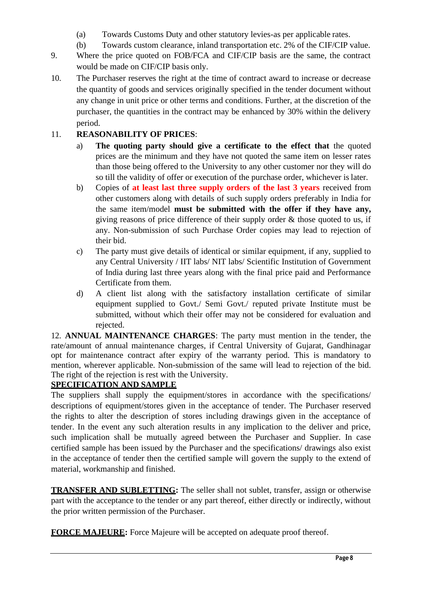- (a) Towards Customs Duty and other statutory levies-as per applicable rates.
- (b) Towards custom clearance, inland transportation etc. 2% of the CIF/CIP value.
- 9. Where the price quoted on FOB/FCA and CIF/CIP basis are the same, the contract would be made on CIF/CIP basis only.
- 10. The Purchaser reserves the right at the time of contract award to increase or decrease the quantity of goods and services originally specified in the tender document without any change in unit price or other terms and conditions. Further, at the discretion of the purchaser, the quantities in the contract may be enhanced by 30% within the delivery period.

# 11. **REASONABILITY OF PRICES**:

- a) **The quoting party should give a certificate to the effect that** the quoted prices are the minimum and they have not quoted the same item on lesser rates than those being offered to the University to any other customer nor they will do so till the validity of offer or execution of the purchase order, whichever is later.
- b) Copies of **at least last three supply orders of the last 3 years** received from other customers along with details of such supply orders preferably in India for the same item/model **must be submitted with the offer if they have any,**  giving reasons of price difference of their supply order & those quoted to us, if any. Non-submission of such Purchase Order copies may lead to rejection of their bid.
- c) The party must give details of identical or similar equipment, if any, supplied to any Central University / IIT labs/ NIT labs/ Scientific Institution of Government of India during last three years along with the final price paid and Performance Certificate from them.
- d) A client list along with the satisfactory installation certificate of similar equipment supplied to Govt./ Semi Govt./ reputed private Institute must be submitted, without which their offer may not be considered for evaluation and rejected.

12. **ANNUAL MAINTENANCE CHARGES**: The party must mention in the tender, the rate/amount of annual maintenance charges, if Central University of Gujarat, Gandhinagar opt for maintenance contract after expiry of the warranty period. This is mandatory to mention, wherever applicable. Non-submission of the same will lead to rejection of the bid. The right of the rejection is rest with the University.

# **SPECIFICATION AND SAMPLE**

The suppliers shall supply the equipment/stores in accordance with the specifications/ descriptions of equipment/stores given in the acceptance of tender. The Purchaser reserved the rights to alter the description of stores including drawings given in the acceptance of tender. In the event any such alteration results in any implication to the deliver and price, such implication shall be mutually agreed between the Purchaser and Supplier. In case certified sample has been issued by the Purchaser and the specifications/ drawings also exist in the acceptance of tender then the certified sample will govern the supply to the extend of material, workmanship and finished.

**TRANSFER AND SUBLETTING:** The seller shall not sublet, transfer, assign or otherwise part with the acceptance to the tender or any part thereof, either directly or indirectly, without the prior written permission of the Purchaser.

**FORCE MAJEURE:** Force Majeure will be accepted on adequate proof thereof.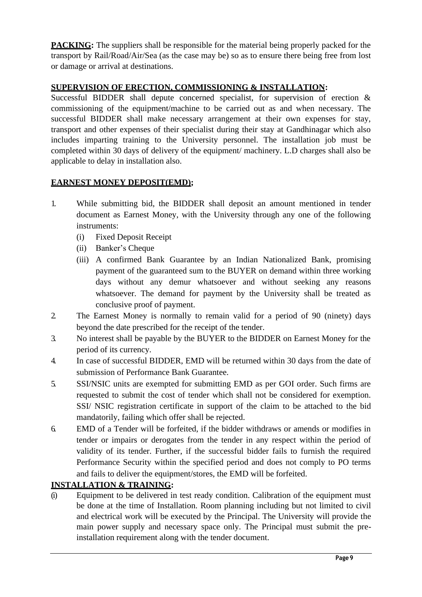**PACKING:** The suppliers shall be responsible for the material being properly packed for the transport by Rail/Road/Air/Sea (as the case may be) so as to ensure there being free from lost or damage or arrival at destinations.

# **SUPERVISION OF ERECTION, COMMISSIONING & INSTALLATION:**

Successful BIDDER shall depute concerned specialist, for supervision of erection & commissioning of the equipment/machine to be carried out as and when necessary. The successful BIDDER shall make necessary arrangement at their own expenses for stay, transport and other expenses of their specialist during their stay at Gandhinagar which also includes imparting training to the University personnel. The installation job must be completed within 30 days of delivery of the equipment/ machinery. L.D charges shall also be applicable to delay in installation also.

# **EARNEST MONEY DEPOSIT(EMD);**

- 1. While submitting bid, the BIDDER shall deposit an amount mentioned in tender document as Earnest Money, with the University through any one of the following instruments:
	- (i) Fixed Deposit Receipt
	- (ii) Banker's Cheque
	- (iii) A confirmed Bank Guarantee by an Indian Nationalized Bank, promising payment of the guaranteed sum to the BUYER on demand within three working days without any demur whatsoever and without seeking any reasons whatsoever. The demand for payment by the University shall be treated as conclusive proof of payment.
- 2. The Earnest Money is normally to remain valid for a period of 90 (ninety) days beyond the date prescribed for the receipt of the tender.
- 3. No interest shall be payable by the BUYER to the BIDDER on Earnest Money for the period of its currency.
- 4. In case of successful BIDDER, EMD will be returned within 30 days from the date of submission of Performance Bank Guarantee.
- 5. SSI/NSIC units are exempted for submitting EMD as per GOI order. Such firms are requested to submit the cost of tender which shall not be considered for exemption. SSI/ NSIC registration certificate in support of the claim to be attached to the bid mandatorily, failing which offer shall be rejected.
- 6. EMD of a Tender will be forfeited, if the bidder withdraws or amends or modifies in tender or impairs or derogates from the tender in any respect within the period of validity of its tender. Further, if the successful bidder fails to furnish the required Performance Security within the specified period and does not comply to PO terms and fails to deliver the equipment/stores, the EMD will be forfeited.

# **INSTALLATION & TRAINING:**

(i) Equipment to be delivered in test ready condition. Calibration of the equipment must be done at the time of Installation. Room planning including but not limited to civil and electrical work will be executed by the Principal. The University will provide the main power supply and necessary space only. The Principal must submit the preinstallation requirement along with the tender document.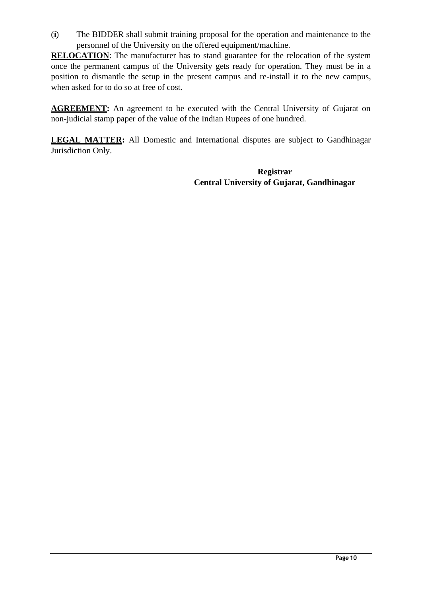(ii) The BIDDER shall submit training proposal for the operation and maintenance to the personnel of the University on the offered equipment/machine.

**RELOCATION**: The manufacturer has to stand guarantee for the relocation of the system once the permanent campus of the University gets ready for operation. They must be in a position to dismantle the setup in the present campus and re-install it to the new campus, when asked for to do so at free of cost.

**AGREEMENT:** An agreement to be executed with the Central University of Gujarat on non-judicial stamp paper of the value of the Indian Rupees of one hundred.

**LEGAL MATTER:** All Domestic and International disputes are subject to Gandhinagar Jurisdiction Only.

> **Registrar Central University of Gujarat, Gandhinagar**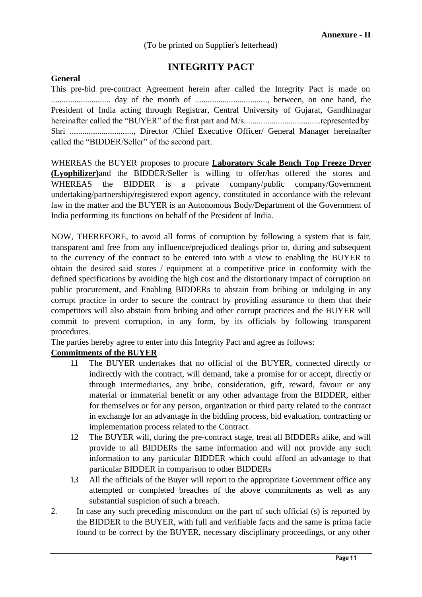(To be printed on Supplier's letterhead)

# **INTEGRITY PACT**

## **General**

This pre-bid pre-contract Agreement herein after called the Integrity Pact is made on ............................ day of the month of .................................., between, on one hand, the President of India acting through Registrar, Central University of Gujarat, Gandhinagar hereinafter called the "BUYER" of the first part and M/s....................................represented by Shri .............................., Director /Chief Executive Officer/ General Manager hereinafter called the "BIDDER/Seller" of the second part.

WHEREAS the BUYER proposes to procure **Laboratory Scale Bench Top Freeze Dryer (Lyophilizer)**and the BIDDER/Seller is willing to offer/has offered the stores and WHEREAS the BIDDER is a private company/public company/Government undertaking/partnership/registered export agency, constituted in accordance with the relevant law in the matter and the BUYER is an Autonomous Body/Department of the Government of India performing its functions on behalf of the President of India.

NOW, THEREFORE, to avoid all forms of corruption by following a system that is fair, transparent and free from any influence/prejudiced dealings prior to, during and subsequent to the currency of the contract to be entered into with a view to enabling the BUYER to obtain the desired said stores / equipment at a competitive price in conformity with the defined specifications by avoiding the high cost and the distortionary impact of corruption on public procurement, and Enabling BIDDERs to abstain from bribing or indulging in any corrupt practice in order to secure the contract by providing assurance to them that their competitors will also abstain from bribing and other corrupt practices and the BUYER will commit to prevent corruption, in any form, by its officials by following transparent procedures.

The parties hereby agree to enter into this Integrity Pact and agree as follows:

## **Commitments of the BUYER**

- 1.1 The BUYER undertakes that no official of the BUYER, connected directly or indirectly with the contract, will demand, take a promise for or accept, directly or through intermediaries, any bribe, consideration, gift, reward, favour or any material or immaterial benefit or any other advantage from the BIDDER, either for themselves or for any person, organization or third party related to the contract in exchange for an advantage in the bidding process, bid evaluation, contracting or implementation process related to the Contract.
- 1.2 The BUYER will, during the pre-contract stage, treat all BIDDERs alike, and will provide to all BIDDERs the same information and will not provide any such information to any particular BIDDER which could afford an advantage to that particular BIDDER in comparison to other BIDDERs
- 1.3 All the officials of the Buyer will report to the appropriate Government office any attempted or completed breaches of the above commitments as well as any substantial suspicion of such a breach.
- 2. In case any such preceding misconduct on the part of such official (s) is reported by the BIDDER to the BUYER, with full and verifiable facts and the same is prima facie found to be correct by the BUYER, necessary disciplinary proceedings, or any other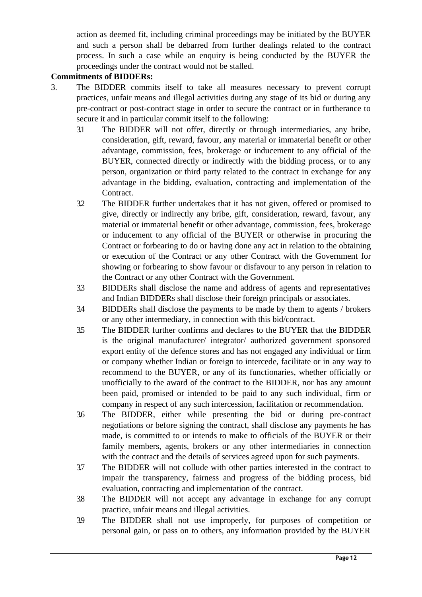action as deemed fit, including criminal proceedings may be initiated by the BUYER and such a person shall be debarred from further dealings related to the contract process. In such a case while an enquiry is being conducted by the BUYER the proceedings under the contract would not be stalled.

## **Commitments of BIDDERs:**

- 3. The BIDDER commits itself to take all measures necessary to prevent corrupt practices, unfair means and illegal activities during any stage of its bid or during any pre-contract or post-contract stage in order to secure the contract or in furtherance to secure it and in particular commit itself to the following:
	- 3.1 The BIDDER will not offer, directly or through intermediaries, any bribe, consideration, gift, reward, favour, any material or immaterial benefit or other advantage, commission, fees, brokerage or inducement to any official of the BUYER, connected directly or indirectly with the bidding process, or to any person, organization or third party related to the contract in exchange for any advantage in the bidding, evaluation, contracting and implementation of the Contract.
	- 3.2 The BIDDER further undertakes that it has not given, offered or promised to give, directly or indirectly any bribe, gift, consideration, reward, favour, any material or immaterial benefit or other advantage, commission, fees, brokerage or inducement to any official of the BUYER or otherwise in procuring the Contract or forbearing to do or having done any act in relation to the obtaining or execution of the Contract or any other Contract with the Government for showing or forbearing to show favour or disfavour to any person in relation to the Contract or any other Contract with the Government.
	- 3.3 BIDDERs shall disclose the name and address of agents and representatives and Indian BIDDERs shall disclose their foreign principals or associates.
	- 3.4 BIDDERs shall disclose the payments to be made by them to agents / brokers or any other intermediary, in connection with this bid/contract.
	- 3.5 The BIDDER further confirms and declares to the BUYER that the BIDDER is the original manufacturer/ integrator/ authorized government sponsored export entity of the defence stores and has not engaged any individual or firm or company whether Indian or foreign to intercede, facilitate or in any way to recommend to the BUYER, or any of its functionaries, whether officially or unofficially to the award of the contract to the BIDDER, nor has any amount been paid, promised or intended to be paid to any such individual, firm or company in respect of any such intercession, facilitation or recommendation.
	- 3.6 The BIDDER, either while presenting the bid or during pre-contract negotiations or before signing the contract, shall disclose any payments he has made, is committed to or intends to make to officials of the BUYER or their family members, agents, brokers or any other intermediaries in connection with the contract and the details of services agreed upon for such payments.
	- 3.7 The BIDDER will not collude with other parties interested in the contract to impair the transparency, fairness and progress of the bidding process, bid evaluation, contracting and implementation of the contract.
	- 3.8 The BIDDER will not accept any advantage in exchange for any corrupt practice, unfair means and illegal activities.
	- 3.9 The BIDDER shall not use improperly, for purposes of competition or personal gain, or pass on to others, any information provided by the BUYER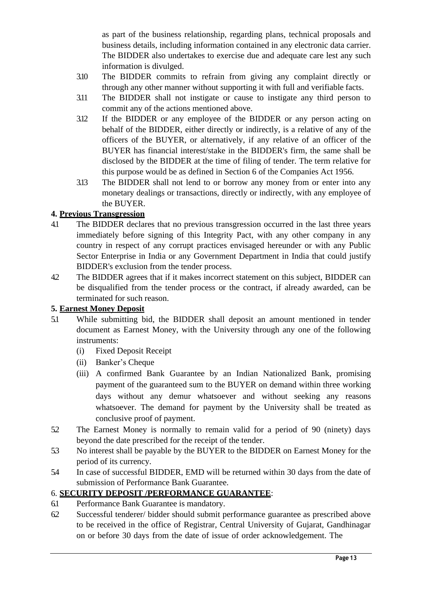as part of the business relationship, regarding plans, technical proposals and business details, including information contained in any electronic data carrier. The BIDDER also undertakes to exercise due and adequate care lest any such information is divulged.

- 3.10 The BIDDER commits to refrain from giving any complaint directly or through any other manner without supporting it with full and verifiable facts.
- 3.11 The BIDDER shall not instigate or cause to instigate any third person to commit any of the actions mentioned above.
- 3.12 If the BIDDER or any employee of the BIDDER or any person acting on behalf of the BIDDER, either directly or indirectly, is a relative of any of the officers of the BUYER, or alternatively, if any relative of an officer of the BUYER has financial interest/stake in the BIDDER's firm, the same shall be disclosed by the BIDDER at the time of filing of tender. The term relative for this purpose would be as defined in Section 6 of the Companies Act 1956.
- 3.13 The BIDDER shall not lend to or borrow any money from or enter into any monetary dealings or transactions, directly or indirectly, with any employee of the BUYER.

# **4. Previous Transgression**

- 4.1 The BIDDER declares that no previous transgression occurred in the last three years immediately before signing of this Integrity Pact, with any other company in any country in respect of any corrupt practices envisaged hereunder or with any Public Sector Enterprise in India or any Government Department in India that could justify BIDDER's exclusion from the tender process.
- 4.2 The BIDDER agrees that if it makes incorrect statement on this subject, BIDDER can be disqualified from the tender process or the contract, if already awarded, can be terminated for such reason.

## **5. Earnest Money Deposit**

- 5.1 While submitting bid, the BIDDER shall deposit an amount mentioned in tender document as Earnest Money, with the University through any one of the following instruments:
	- (i) Fixed Deposit Receipt
	- (ii) Banker's Cheque
	- (iii) A confirmed Bank Guarantee by an Indian Nationalized Bank, promising payment of the guaranteed sum to the BUYER on demand within three working days without any demur whatsoever and without seeking any reasons whatsoever. The demand for payment by the University shall be treated as conclusive proof of payment.
- 5.2 The Earnest Money is normally to remain valid for a period of 90 (ninety) days beyond the date prescribed for the receipt of the tender.
- 5.3 No interest shall be payable by the BUYER to the BIDDER on Earnest Money for the period of its currency.
- 5.4 In case of successful BIDDER, EMD will be returned within 30 days from the date of submission of Performance Bank Guarantee.

# 6. **SECURITY DEPOSIT /PERFORMANCE GUARANTEE**:

- 6.1 Performance Bank Guarantee is mandatory.
- 6.2 Successful tenderer/ bidder should submit performance guarantee as prescribed above to be received in the office of Registrar, Central University of Gujarat, Gandhinagar on or before 30 days from the date of issue of order acknowledgement. The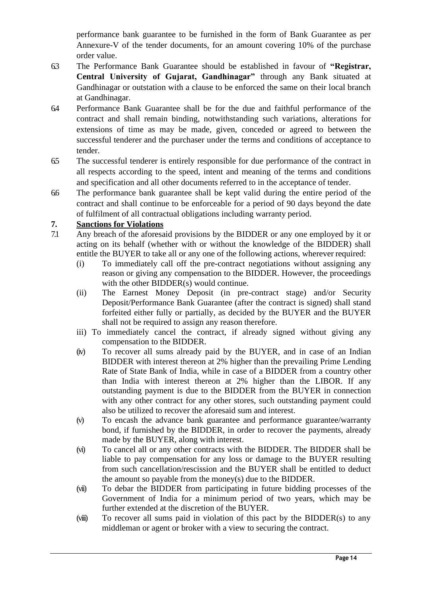performance bank guarantee to be furnished in the form of Bank Guarantee as per Annexure-V of the tender documents, for an amount covering 10% of the purchase order value.

- 6.3 The Performance Bank Guarantee should be established in favour of **"Registrar, Central University of Gujarat, Gandhinagar"** through any Bank situated at Gandhinagar or outstation with a clause to be enforced the same on their local branch at Gandhinagar.
- 6.4 Performance Bank Guarantee shall be for the due and faithful performance of the contract and shall remain binding, notwithstanding such variations, alterations for extensions of time as may be made, given, conceded or agreed to between the successful tenderer and the purchaser under the terms and conditions of acceptance to tender.
- 6.5 The successful tenderer is entirely responsible for due performance of the contract in all respects according to the speed, intent and meaning of the terms and conditions and specification and all other documents referred to in the acceptance of tender.
- 6.6 The performance bank guarantee shall be kept valid during the entire period of the contract and shall continue to be enforceable for a period of 90 days beyond the date of fulfilment of all contractual obligations including warranty period.

## **7. Sanctions for Violations**

- 7.1 Any breach of the aforesaid provisions by the BIDDER or any one employed by it or acting on its behalf (whether with or without the knowledge of the BIDDER) shall entitle the BUYER to take all or any one of the following actions, wherever required:
	- (i) To immediately call off the pre-contract negotiations without assigning any reason or giving any compensation to the BIDDER. However, the proceedings with the other BIDDER(s) would continue.
	- (ii) The Earnest Money Deposit (in pre-contract stage) and/or Security Deposit/Performance Bank Guarantee (after the contract is signed) shall stand forfeited either fully or partially, as decided by the BUYER and the BUYER shall not be required to assign any reason therefore.
	- iii) To immediately cancel the contract, if already signed without giving any compensation to the BIDDER.
	- (iv) To recover all sums already paid by the BUYER, and in case of an Indian BIDDER with interest thereon at 2% higher than the prevailing Prime Lending Rate of State Bank of India, while in case of a BIDDER from a country other than India with interest thereon at 2% higher than the LIBOR. If any outstanding payment is due to the BIDDER from the BUYER in connection with any other contract for any other stores, such outstanding payment could also be utilized to recover the aforesaid sum and interest.
	- (v) To encash the advance bank guarantee and performance guarantee/warranty bond, if furnished by the BIDDER, in order to recover the payments, already made by the BUYER, along with interest.
	- (vi) To cancel all or any other contracts with the BIDDER. The BIDDER shall be liable to pay compensation for any loss or damage to the BUYER resulting from such cancellation/rescission and the BUYER shall be entitled to deduct the amount so payable from the money(s) due to the BIDDER.
	- (vii) To debar the BIDDER from participating in future bidding processes of the Government of India for a minimum period of two years, which may be further extended at the discretion of the BUYER.
	- ( $viii$ ) To recover all sums paid in violation of this pact by the BIDDER(s) to any middleman or agent or broker with a view to securing the contract.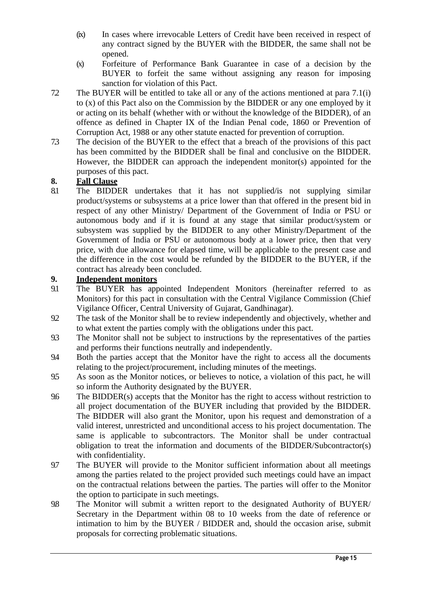- (ix) In cases where irrevocable Letters of Credit have been received in respect of any contract signed by the BUYER with the BIDDER, the same shall not be opened.
- (x) Forfeiture of Performance Bank Guarantee in case of a decision by the BUYER to forfeit the same without assigning any reason for imposing sanction for violation of this Pact.
- 7.2 The BUYER will be entitled to take all or any of the actions mentioned at para 7.1(i) to (x) of this Pact also on the Commission by the BIDDER or any one employed by it or acting on its behalf (whether with or without the knowledge of the BIDDER), of an offence as defined in Chapter IX of the Indian Penal code, 1860 or Prevention of Corruption Act, 1988 or any other statute enacted for prevention of corruption.
- 7.3 The decision of the BUYER to the effect that a breach of the provisions of this pact has been committed by the BIDDER shall be final and conclusive on the BIDDER. However, the BIDDER can approach the independent monitor(s) appointed for the purposes of this pact.

# **8. Fall Clause**

The BIDDER undertakes that it has not supplied/is not supplying similar product/systems or subsystems at a price lower than that offered in the present bid in respect of any other Ministry/ Department of the Government of India or PSU or autonomous body and if it is found at any stage that similar product/system or subsystem was supplied by the BIDDER to any other Ministry/Department of the Government of India or PSU or autonomous body at a lower price, then that very price, with due allowance for elapsed time, will be applicable to the present case and the difference in the cost would be refunded by the BIDDER to the BUYER, if the contract has already been concluded.

## **9. Independent monitors**

- 9.1 The BUYER has appointed Independent Monitors (hereinafter referred to as Monitors) for this pact in consultation with the Central Vigilance Commission (Chief Vigilance Officer, Central University of Gujarat, Gandhinagar).
- 9.2 The task of the Monitor shall be to review independently and objectively, whether and to what extent the parties comply with the obligations under this pact.
- 9.3 The Monitor shall not be subject to instructions by the representatives of the parties and performs their functions neutrally and independently.
- 9.4 Both the parties accept that the Monitor have the right to access all the documents relating to the project/procurement, including minutes of the meetings.
- 9.5 As soon as the Monitor notices, or believes to notice, a violation of this pact, he will so inform the Authority designated by the BUYER.
- 9.6 The BIDDER(s) accepts that the Monitor has the right to access without restriction to all project documentation of the BUYER including that provided by the BIDDER. The BIDDER will also grant the Monitor, upon his request and demonstration of a valid interest, unrestricted and unconditional access to his project documentation. The same is applicable to subcontractors. The Monitor shall be under contractual obligation to treat the information and documents of the BIDDER/Subcontractor(s) with confidentiality.
- 9.7 The BUYER will provide to the Monitor sufficient information about all meetings among the parties related to the project provided such meetings could have an impact on the contractual relations between the parties. The parties will offer to the Monitor the option to participate in such meetings.
- 9.8 The Monitor will submit a written report to the designated Authority of BUYER/ Secretary in the Department within 08 to 10 weeks from the date of reference or intimation to him by the BUYER / BIDDER and, should the occasion arise, submit proposals for correcting problematic situations.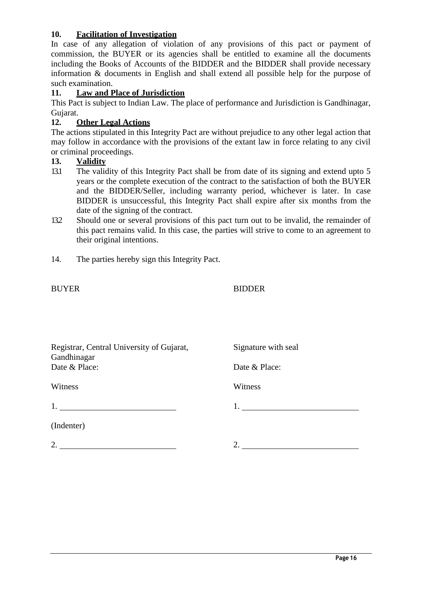### **10. Facilitation of Investigation**

In case of any allegation of violation of any provisions of this pact or payment of commission, the BUYER or its agencies shall be entitled to examine all the documents including the Books of Accounts of the BIDDER and the BIDDER shall provide necessary information & documents in English and shall extend all possible help for the purpose of such examination.

### **11. Law and Place of Jurisdiction**

This Pact is subject to Indian Law. The place of performance and Jurisdiction is Gandhinagar, Gujarat.<br>12. **(** 

## **12. Other Legal Actions**

The actions stipulated in this Integrity Pact are without prejudice to any other legal action that may follow in accordance with the provisions of the extant law in force relating to any civil or criminal proceedings.

### **13. Validity**

- 13.1 The validity of this Integrity Pact shall be from date of its signing and extend upto 5 years or the complete execution of the contract to the satisfaction of both the BUYER and the BIDDER/Seller, including warranty period, whichever is later. In case BIDDER is unsuccessful, this Integrity Pact shall expire after six months from the date of the signing of the contract.
- 13.2 Should one or several provisions of this pact turn out to be invalid, the remainder of this pact remains valid. In this case, the parties will strive to come to an agreement to their original intentions.
- 14. The parties hereby sign this Integrity Pact.

### BUYER BIDDER

| Registrar, Central University of Gujarat, | Signature with seal |
|-------------------------------------------|---------------------|
| Gandhinagar<br>Date & Place:              | Date & Place:       |
| Witness                                   | Witness             |
|                                           | 1. $\qquad \qquad$  |
| (Indenter)                                |                     |
| 2.                                        |                     |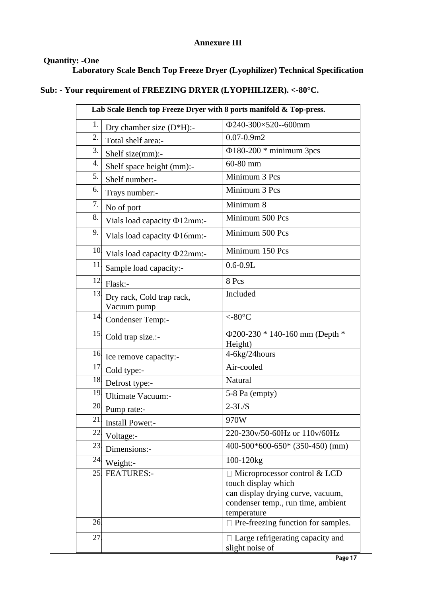## **Annexure III**

# **Quantity: -One**

**Laboratory Scale Bench Top Freeze Dryer (Lyophilizer) Technical Specification**

# **Sub: - Your requirement of FREEZING DRYER (LYOPHILIZER). <-80°C.**

|     | Lab Scale Bench top Freeze Dryer with 8 ports manifold & Top-press. |                                                                                                                                                      |  |  |  |  |  |  |
|-----|---------------------------------------------------------------------|------------------------------------------------------------------------------------------------------------------------------------------------------|--|--|--|--|--|--|
| 1.  | Dry chamber size $(D*H)$ :-                                         | Φ240-300×520--600mm                                                                                                                                  |  |  |  |  |  |  |
| 2.  | Total shelf area:-                                                  | $0.07 - 0.9$ m2                                                                                                                                      |  |  |  |  |  |  |
| 3.  | Shelf size(mm):-                                                    | $\Phi$ 180-200 * minimum 3pcs                                                                                                                        |  |  |  |  |  |  |
| 4.  | Shelf space height (mm):-                                           | 60-80 mm                                                                                                                                             |  |  |  |  |  |  |
| 5.  | Shelf number:-                                                      | Minimum 3 Pcs                                                                                                                                        |  |  |  |  |  |  |
| 6.  | Trays number:-                                                      | Minimum 3 Pcs                                                                                                                                        |  |  |  |  |  |  |
| 7.  | No of port                                                          | Minimum 8                                                                                                                                            |  |  |  |  |  |  |
| 8.  | Vials load capacity $\Phi$ 12mm:-                                   | Minimum 500 Pcs                                                                                                                                      |  |  |  |  |  |  |
| 9.  | Vials load capacity $\Phi$ 16mm:-                                   | Minimum 500 Pcs                                                                                                                                      |  |  |  |  |  |  |
|     | <sup>10</sup> Vials load capacity $\Phi$ 22mm:-                     | Minimum 150 Pcs                                                                                                                                      |  |  |  |  |  |  |
| 11  | Sample load capacity:-                                              | $0.6 - 0.9L$                                                                                                                                         |  |  |  |  |  |  |
| 12. | Flask:-                                                             | 8 Pcs                                                                                                                                                |  |  |  |  |  |  |
| 13  | Dry rack, Cold trap rack,<br>Vacuum pump                            | Included                                                                                                                                             |  |  |  |  |  |  |
| 14. | Condenser Temp:-                                                    | $< -80\textdegree C$                                                                                                                                 |  |  |  |  |  |  |
| 15. | Cold trap size.:-                                                   | Ф200-230 * 140-160 mm (Depth *<br>Height)                                                                                                            |  |  |  |  |  |  |
| 16. | Ice remove capacity:-                                               | 4-6kg/24hours                                                                                                                                        |  |  |  |  |  |  |
| 17  | Cold type:-                                                         | Air-cooled                                                                                                                                           |  |  |  |  |  |  |
| 18. | Defrost type:-                                                      | Natural                                                                                                                                              |  |  |  |  |  |  |
| 19. | Ultimate Vacuum:-                                                   | 5-8 Pa (empty)                                                                                                                                       |  |  |  |  |  |  |
|     | 20 Pump rate:-                                                      | $2 - 3L/S$                                                                                                                                           |  |  |  |  |  |  |
| 21. | Install Power:-                                                     | 970W                                                                                                                                                 |  |  |  |  |  |  |
| 22. | Voltage:-                                                           | 220-230v/50-60Hz or 110v/60Hz                                                                                                                        |  |  |  |  |  |  |
| 23  | Dimensions:-                                                        | $400-500*600-650*$ (350-450) (mm)                                                                                                                    |  |  |  |  |  |  |
| 24  | Weight:-                                                            | $100 - 120$                                                                                                                                          |  |  |  |  |  |  |
| 25. | <b>FEATURES:-</b>                                                   | $\Box$ Microprocessor control & LCD<br>touch display which<br>can display drying curve, vacuum,<br>condenser temp., run time, ambient<br>temperature |  |  |  |  |  |  |
| 26. |                                                                     | $\Box$ Pre-freezing function for samples.                                                                                                            |  |  |  |  |  |  |
| 27  |                                                                     | $\Box$ Large refrigerating capacity and<br>slight noise of                                                                                           |  |  |  |  |  |  |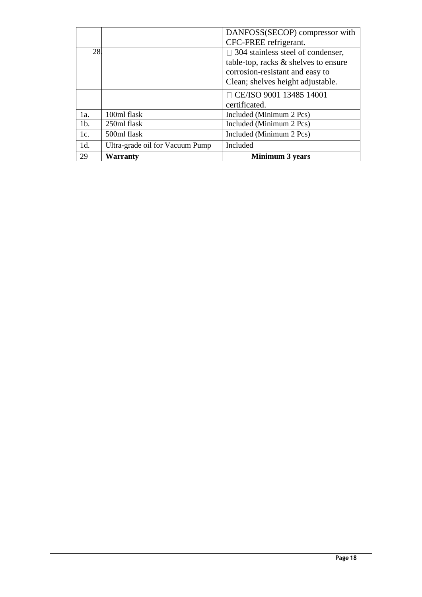|        |                                 | DANFOSS(SECOP) compressor with           |
|--------|---------------------------------|------------------------------------------|
|        |                                 | CFC-FREE refrigerant.                    |
| 28.    |                                 | $\Box$ 304 stainless steel of condenser, |
|        |                                 | table-top, racks $\&$ shelves to ensure  |
|        |                                 | corrosion-resistant and easy to          |
|        |                                 | Clean; shelves height adjustable.        |
|        |                                 | $\Box$ CE/ISO 9001 13485 14001           |
|        |                                 | certificated.                            |
| 1a.    | 100ml flask                     | Included (Minimum 2 Pcs)                 |
| $1b$ . | 250ml flask                     | Included (Minimum 2 Pcs)                 |
| 1c.    | 500ml flask                     | Included (Minimum 2 Pcs)                 |
| 1d.    | Ultra-grade oil for Vacuum Pump | Included                                 |
| 29     | Warranty                        | <b>Minimum 3 years</b>                   |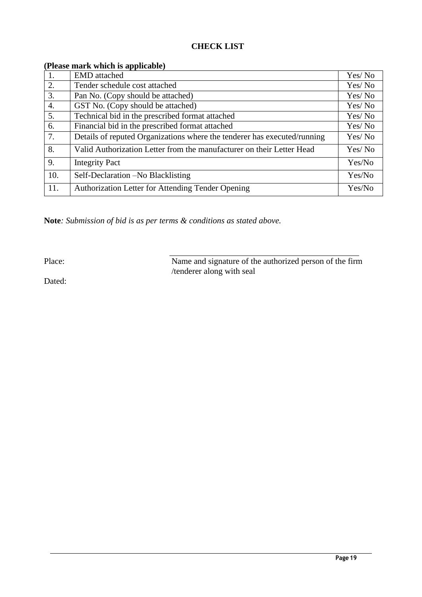## **CHECK LIST**

| <b>EMD</b> attached                                                      | Yes/No  |
|--------------------------------------------------------------------------|---------|
| Tender schedule cost attached                                            | Yes/No  |
| Pan No. (Copy should be attached)                                        | Yes/ No |
| GST No. (Copy should be attached)                                        | Yes/No  |
| Technical bid in the prescribed format attached                          | Yes/ No |
| Financial bid in the prescribed format attached                          | Yes/No  |
| Details of reputed Organizations where the tenderer has executed/running | Yes/No  |
| Valid Authorization Letter from the manufacturer on their Letter Head    | Yes/No  |
| <b>Integrity Pact</b>                                                    | Yes/No  |
| Self-Declaration – No Blacklisting                                       | Yes/No  |
| Authorization Letter for Attending Tender Opening                        | Yes/No  |
|                                                                          |         |

#### **(Please mark which is applicable)**

**Note***: Submission of bid is as per terms & conditions as stated above.*

Place: Name and signature of the authorized person of the firm /tenderer along with seal

Dated: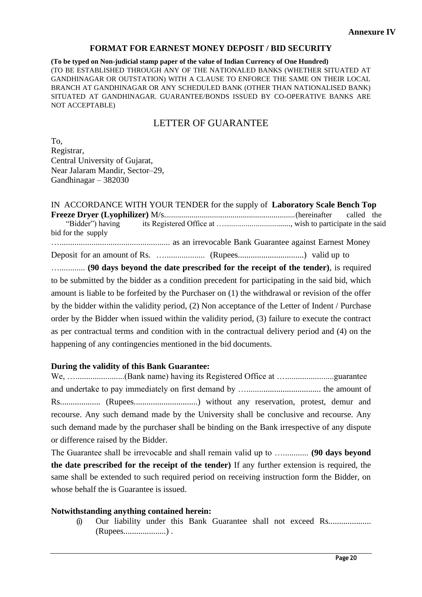#### **FORMAT FOR EARNEST MONEY DEPOSIT / BID SECURITY**

**(To be typed on Non-judicial stamp paper of the value of Indian Currency of One Hundred)** (TO BE ESTABLISHED THROUGH ANY OF THE NATIONALED BANKS (WHETHER SITUATED AT GANDHINAGAR OR OUTSTATION) WITH A CLAUSE TO ENFORCE THE SAME ON THEIR LOCAL BRANCH AT GANDHINAGAR OR ANY SCHEDULED BANK (OTHER THAN NATIONALISED BANK) SITUATED AT GANDHINAGAR. GUARANTEE/BONDS ISSUED BY CO-OPERATIVE BANKS ARE NOT ACCEPTABLE)

# LETTER OF GUARANTEE

To, Registrar, Central University of Gujarat, Near Jalaram Mandir, Sector–29, Gandhinagar – 382030

IN ACCORDANCE WITH YOUR TENDER for the supply of **Laboratory Scale Bench Top Freeze Dryer (Lyophilizer)** M/s...................................................................(hereinafter called the "Bidder") having its Registered Office at ….................................., wish to participate in the said bid for the supply ….................................................... as an irrevocable Bank Guarantee against Earnest Money Deposit for an amount of Rs. …................... (Rupees...............................) valid up to …............ **(90 days beyond the date prescribed for the receipt of the tender)**, is required to be submitted by the bidder as a condition precedent for participating in the said bid, which amount is liable to be forfeited by the Purchaser on (1) the withdrawal or revision of the offer by the bidder within the validity period, (2) Non acceptance of the Letter of Indent / Purchase order by the Bidder when issued within the validity period, (3) failure to execute the contract as per contractual terms and condition with in the contractual delivery period and (4) on the happening of any contingencies mentioned in the bid documents.

#### **During the validity of this Bank Guarantee:**

We, ….......................(Bank name) having its Registered Office at ….......................guarantee and undertake to pay immediately on first demand by …................................... the amount of Rs................... (Rupees..............................) without any reservation, protest, demur and recourse. Any such demand made by the University shall be conclusive and recourse. Any such demand made by the purchaser shall be binding on the Bank irrespective of any dispute or difference raised by the Bidder.

The Guarantee shall be irrevocable and shall remain valid up to …............ **(90 days beyond the date prescribed for the receipt of the tender)** If any further extension is required, the same shall be extended to such required period on receiving instruction form the Bidder, on whose behalf the is Guarantee is issued.

#### **Notwithstanding anything contained herein:**

(i) Our liability under this Bank Guarantee shall not exceed Rs.................... (Rupees....................) .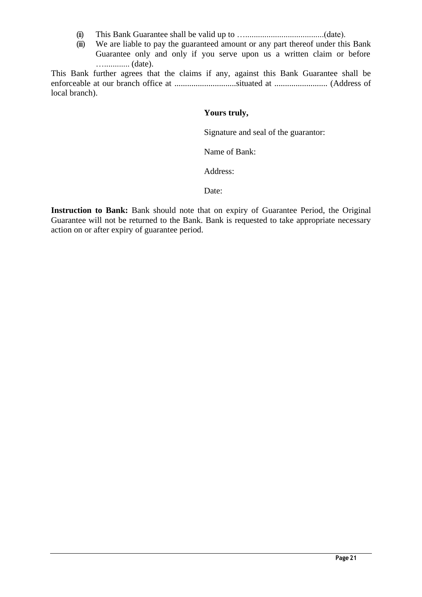- (ii) This Bank Guarantee shall be valid up to ….....................................(date).
- (iii) We are liable to pay the guaranteed amount or any part thereof under this Bank Guarantee only and only if you serve upon us a written claim or before …............ (date).

This Bank further agrees that the claims if any, against this Bank Guarantee shall be enforceable at our branch office at .............................situated at ......................... (Address of local branch).

## **Yours truly,**

Signature and seal of the guarantor:

Name of Bank:

Address:

Date:

Instruction to Bank: Bank should note that on expiry of Guarantee Period, the Original Guarantee will not be returned to the Bank. Bank is requested to take appropriate necessary action on or after expiry of guarantee period.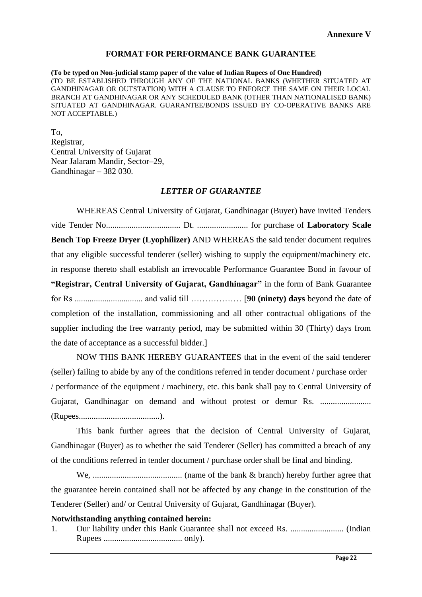#### **FORMAT FOR PERFORMANCE BANK GUARANTEE**

**(To be typed on Non-judicial stamp paper of the value of Indian Rupees of One Hundred)** (TO BE ESTABLISHED THROUGH ANY OF THE NATIONAL BANKS (WHETHER SITUATED AT GANDHINAGAR OR OUTSTATION) WITH A CLAUSE TO ENFORCE THE SAME ON THEIR LOCAL BRANCH AT GANDHINAGAR OR ANY SCHEDULED BANK (OTHER THAN NATIONALISED BANK) SITUATED AT GANDHINAGAR. GUARANTEE/BONDS ISSUED BY CO-OPERATIVE BANKS ARE NOT ACCEPTABLE.)

To, Registrar, Central University of Gujarat Near Jalaram Mandir, Sector–29, Gandhinagar – 382 030.

#### *LETTER OF GUARANTEE*

WHEREAS Central University of Gujarat, Gandhinagar (Buyer) have invited Tenders vide Tender No................................... Dt. ........................ for purchase of **Laboratory Scale Bench Top Freeze Dryer (Lyophilizer)** AND WHEREAS the said tender document requires that any eligible successful tenderer (seller) wishing to supply the equipment/machinery etc. in response thereto shall establish an irrevocable Performance Guarantee Bond in favour of **"Registrar, Central University of Gujarat, Gandhinagar"** in the form of Bank Guarantee for Rs ................................ and valid till ……………… [**90 (ninety) days** beyond the date of completion of the installation, commissioning and all other contractual obligations of the supplier including the free warranty period, may be submitted within 30 (Thirty) days from the date of acceptance as a successful bidder.]

NOW THIS BANK HEREBY GUARANTEES that in the event of the said tenderer (seller) failing to abide by any of the conditions referred in tender document / purchase order / performance of the equipment / machinery, etc. this bank shall pay to Central University of Gujarat, Gandhinagar on demand and without protest or demur Rs. ........................ (Rupees......................................).

This bank further agrees that the decision of Central University of Gujarat, Gandhinagar (Buyer) as to whether the said Tenderer (Seller) has committed a breach of any of the conditions referred in tender document / purchase order shall be final and binding.

We, .......................................... (name of the bank & branch) hereby further agree that the guarantee herein contained shall not be affected by any change in the constitution of the Tenderer (Seller) and/ or Central University of Gujarat, Gandhinagar (Buyer).

#### **Notwithstanding anything contained herein:**

1. Our liability under this Bank Guarantee shall not exceed Rs. ......................... (Indian Rupees ..................................... only).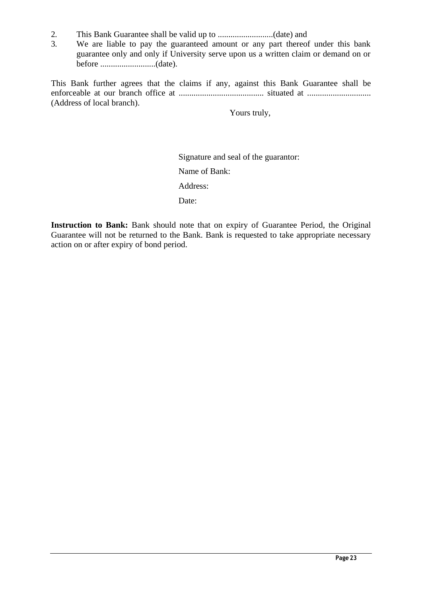- 2. This Bank Guarantee shall be valid up to ..........................(date) and
- We are liable to pay the guaranteed amount or any part thereof under this bank guarantee only and only if University serve upon us a written claim or demand on or before ..........................(date).

This Bank further agrees that the claims if any, against this Bank Guarantee shall be enforceable at our branch office at ........................................ situated at .............................. (Address of local branch).

Yours truly,

Signature and seal of the guarantor:

Name of Bank:

Address:

Date:

Instruction to Bank: Bank should note that on expiry of Guarantee Period, the Original Guarantee will not be returned to the Bank. Bank is requested to take appropriate necessary action on or after expiry of bond period.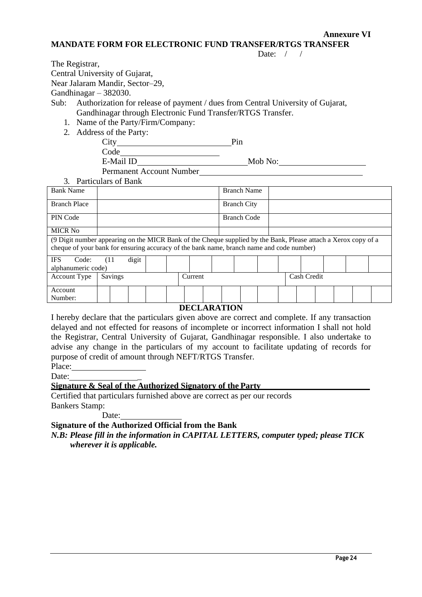**Annexure VI** 

#### **MANDATE FORM FOR ELECTRONIC FUND TRANSFER/RTGS TRANSFER**

Date:  $/$  /

The Registrar,

Central University of Gujarat,

Near Jalaram Mandir, Sector–29,

Gandhinagar – 382030.

Sub: Authorization for release of payment / dues from Central University of Gujarat, Gandhinagar through Electronic Fund Transfer/RTGS Transfer.

- 1. Name of the Party/Firm/Company:
- 2. Address of the Party:

City Pin Code E-Mail ID Mob No: Mob No: Permanent Account Number

3. Particulars of Bank

| $\beta$ . Latticulars of Dalin                                                                                                                                                                             |      |  |       |  |  |                    |  |  |                    |  |  |  |  |  |
|------------------------------------------------------------------------------------------------------------------------------------------------------------------------------------------------------------|------|--|-------|--|--|--------------------|--|--|--------------------|--|--|--|--|--|
| <b>Bank Name</b>                                                                                                                                                                                           |      |  |       |  |  |                    |  |  | <b>Branch Name</b> |  |  |  |  |  |
| <b>Branch Place</b>                                                                                                                                                                                        |      |  |       |  |  | <b>Branch City</b> |  |  |                    |  |  |  |  |  |
| PIN Code                                                                                                                                                                                                   |      |  |       |  |  | <b>Branch Code</b> |  |  |                    |  |  |  |  |  |
| <b>MICR No</b>                                                                                                                                                                                             |      |  |       |  |  |                    |  |  |                    |  |  |  |  |  |
| (9 Digit number appearing on the MICR Bank of the Cheque supplied by the Bank, Please attach a Xerox copy of a<br>cheque of your bank for ensuring accuracy of the bank name, branch name and code number) |      |  |       |  |  |                    |  |  |                    |  |  |  |  |  |
| <b>IFS</b><br>Code:                                                                                                                                                                                        | (11) |  | digit |  |  |                    |  |  |                    |  |  |  |  |  |
| alphanumeric code)                                                                                                                                                                                         |      |  |       |  |  |                    |  |  |                    |  |  |  |  |  |
| Savings<br><b>Account Type</b><br>Cash Credit<br>Current                                                                                                                                                   |      |  |       |  |  |                    |  |  |                    |  |  |  |  |  |
| Account                                                                                                                                                                                                    |      |  |       |  |  |                    |  |  |                    |  |  |  |  |  |
| Number:                                                                                                                                                                                                    |      |  |       |  |  |                    |  |  |                    |  |  |  |  |  |
| REAL IR IMLANT                                                                                                                                                                                             |      |  |       |  |  |                    |  |  |                    |  |  |  |  |  |

### **DECLARATION**

I hereby declare that the particulars given above are correct and complete. If any transaction delayed and not effected for reasons of incomplete or incorrect information I shall not hold the Registrar, Central University of Gujarat, Gandhinagar responsible. I also undertake to advise any change in the particulars of my account to facilitate updating of records for purpose of credit of amount through NEFT/RTGS Transfer.

Place:

Date:

### **Signature & Seal of the Authorized Signatory of the Party**

Certified that particulars furnished above are correct as per our records Bankers Stamp:

Date:

**Signature of the Authorized Official from the Bank**

*N.B: Please fill in the information in CAPITAL LETTERS, computer typed; please TICK wherever it is applicable.*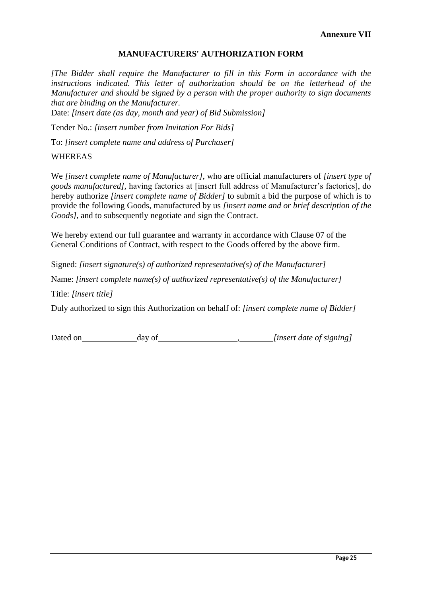#### **MANUFACTURERS' AUTHORIZATION FORM**

*[The Bidder shall require the Manufacturer to fill in this Form in accordance with the*  instructions indicated. This letter of authorization should be on the letterhead of the *Manufacturer and should be signed by a person with the proper authority to sign documents that are binding on the Manufacturer.*

Date: *[insert date (as day, month and year) of Bid Submission]*

Tender No.: *[insert number from Invitation For Bids]* 

To: *[insert complete name and address of Purchaser]* 

#### WHEREAS

We *[insert complete name of Manufacturer],* who are official manufacturers of *[insert type of goods manufactured],* having factories at [insert full address of Manufacturer's factories], do hereby authorize *[insert complete name of Bidder]* to submit a bid the purpose of which is to provide the following Goods, manufactured by us *[insert name and or brief description of the Goods],* and to subsequently negotiate and sign the Contract.

We hereby extend our full guarantee and warranty in accordance with Clause 07 of the General Conditions of Contract, with respect to the Goods offered by the above firm.

Signed: *[insert signature(s) of authorized representative(s) of the Manufacturer]* 

Name: *[insert complete name(s) of authorized representative(s) of the Manufacturer]* 

Title: *[insert title]*

Duly authorized to sign this Authorization on behalf of: *[insert complete name of Bidder]*

Dated on day of  $\qquad \qquad$  *[insert date of signing]*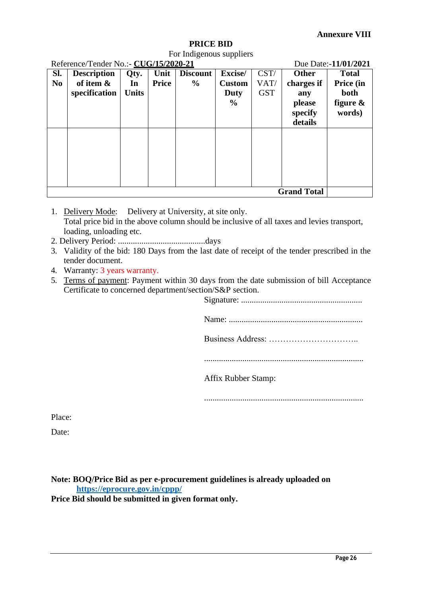#### **PRICE BID**

For Indigenous suppliers

| Reference/Tender No.:- CUG/15/2020-21<br>Due Date:-11/01/2021 |                    |              |              |                 |               |            |              |              |  |
|---------------------------------------------------------------|--------------------|--------------|--------------|-----------------|---------------|------------|--------------|--------------|--|
| Sl.                                                           | <b>Description</b> | Qty.         | Unit         | <b>Discount</b> | Excise/       | CST/       | <b>Other</b> | <b>Total</b> |  |
| N <sub>0</sub>                                                | of item $\&$       | In           | <b>Price</b> | $\frac{6}{9}$   | <b>Custom</b> | VAT/       | charges if   | Price (in    |  |
|                                                               | specification      | <b>Units</b> |              |                 | Duty          | <b>GST</b> | any          | both         |  |
|                                                               |                    |              |              |                 | $\frac{6}{6}$ |            | please       | figure $\&$  |  |
|                                                               |                    |              |              |                 |               |            | specify      | words)       |  |
|                                                               |                    |              |              |                 |               |            | details      |              |  |
|                                                               |                    |              |              |                 |               |            |              |              |  |
|                                                               |                    |              |              |                 |               |            |              |              |  |
|                                                               |                    |              |              |                 |               |            |              |              |  |
|                                                               |                    |              |              |                 |               |            |              |              |  |
|                                                               |                    |              |              |                 |               |            |              |              |  |
|                                                               |                    |              |              |                 |               |            |              |              |  |
|                                                               | <b>Grand Total</b> |              |              |                 |               |            |              |              |  |

1. Delivery Mode: Delivery at University, at site only. Total price bid in the above column should be inclusive of all taxes and levies transport, loading, unloading etc.

- 2. Delivery Period: .........................................days
- 3. Validity of the bid: 180 Days from the last date of receipt of the tender prescribed in the tender document.
- 4. Warranty: 3 years warranty.
- 5. Terms of payment: Payment within 30 days from the date submission of bill Acceptance Certificate to concerned department/section/S&P section.

Signature: .........................................................

Name: ...............................................................

Business Address: …………………………..

...........................................................................

Affix Rubber Stamp:

...........................................................................

Place:

Date:

**Note: BOQ/Price Bid as per e-procurement guidelines is already uploaded on <https://eprocure.gov.in/cppp/> Price Bid should be submitted in given format only.**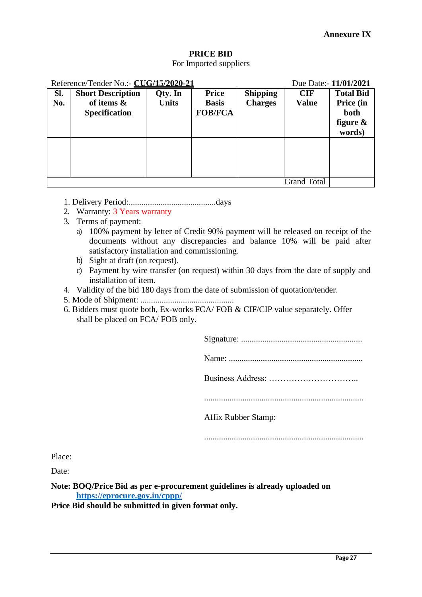# **PRICE BID**

## For Imported suppliers

|                    | Reference/Tender No.:- CUG/15/2020-21<br>Due Date:- 11/01/2021 |              |                |                 |              |                  |  |  |
|--------------------|----------------------------------------------------------------|--------------|----------------|-----------------|--------------|------------------|--|--|
| SI.                | <b>Short Description</b>                                       | Qty. In      | <b>Price</b>   | <b>Shipping</b> | <b>CIF</b>   | <b>Total Bid</b> |  |  |
| No.                | of items &                                                     | <b>Units</b> | <b>Basis</b>   | <b>Charges</b>  | <b>Value</b> | Price (in        |  |  |
|                    | <b>Specification</b>                                           |              | <b>FOB/FCA</b> |                 |              | both             |  |  |
|                    |                                                                |              |                |                 |              | figure $\&$      |  |  |
|                    |                                                                |              |                |                 |              | words)           |  |  |
|                    |                                                                |              |                |                 |              |                  |  |  |
|                    |                                                                |              |                |                 |              |                  |  |  |
|                    |                                                                |              |                |                 |              |                  |  |  |
|                    |                                                                |              |                |                 |              |                  |  |  |
| <b>Grand Total</b> |                                                                |              |                |                 |              |                  |  |  |

- 1. Delivery Period:.........................................days
- 2. Warranty: 3 Years warranty
- 3. Terms of payment:
	- a) 100% payment by letter of Credit 90% payment will be released on receipt of the documents without any discrepancies and balance 10% will be paid after satisfactory installation and commissioning.
	- b) Sight at draft (on request).
	- c) Payment by wire transfer (on request) within 30 days from the date of supply and installation of item.
- 4. Validity of the bid 180 days from the date of submission of quotation/tender.
- 5. Mode of Shipment: ............................................
- 6. Bidders must quote both, Ex-works FCA/ FOB & CIF/CIP value separately. Offer shall be placed on FCA/ FOB only.

Signature: .........................................................

Name: ...............................................................

Business Address: …………………………..

...........................................................................

Affix Rubber Stamp:

...........................................................................

Place:

Date:

**Note: BOQ/Price Bid as per e-procurement guidelines is already uploaded on <https://eprocure.gov.in/cppp/>**

**Price Bid should be submitted in given format only.**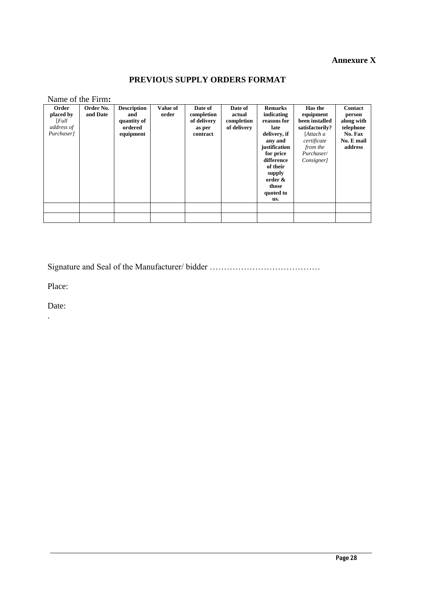# **Annexure X**

# **PREVIOUS SUPPLY ORDERS FORMAT**

Name of the Firm**:**

| Order<br>placed by<br>[Full]<br>address of<br>Purchaser] | Order No.<br>and Date | <b>Description</b><br>and<br>quantity of<br>ordered<br>equipment | Value of<br>order | Date of<br>completion<br>of delivery<br>as per<br>contract | Date of<br>actual<br>completion<br>of delivery | <b>Remarks</b><br>indicating<br>reasons for<br>late<br>delivery, if<br>any and<br>justification<br>for price<br>difference<br>of their<br>supply<br>order &<br>those<br>quoted to<br>us. | Has the<br>equipment<br>been installed<br>satisfactorily?<br>[Attach a<br>certificate<br>from the<br>Purchaser/<br>Consigner] | <b>Contact</b><br>person<br>along with<br>telephone<br>No. Fax<br>No. E mail<br>address |
|----------------------------------------------------------|-----------------------|------------------------------------------------------------------|-------------------|------------------------------------------------------------|------------------------------------------------|------------------------------------------------------------------------------------------------------------------------------------------------------------------------------------------|-------------------------------------------------------------------------------------------------------------------------------|-----------------------------------------------------------------------------------------|
|                                                          |                       |                                                                  |                   |                                                            |                                                |                                                                                                                                                                                          |                                                                                                                               |                                                                                         |

Signature and Seal of the Manufacturer/ bidder …………………………………

Place:

Date:

.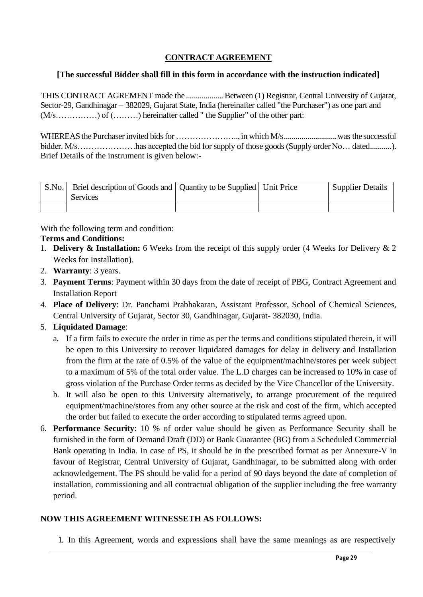# **CONTRACT AGREEMENT**

## **[The successful Bidder shall fill in this form in accordance with the instruction indicated]**

THIS CONTRACT AGREMENT made the ......................Between (1) Registrar, Central University of Gujarat, Sector-29, Gandhinagar – 382029, Gujarat State, India (hereinafter called "the Purchaser") as one part and (M/s……………) of (………) hereinafter called " the Supplier" of the other part:

WHEREAS the Purchaser invited bidsfor ………………….., in which M/s...........................was the successful bidder. M/s…………………has accepted the bid for supply of those goods (Supply order No… dated...........). Brief Details of the instrument is given below:-

| S.No. | Brief description of Goods and   Quantity to be Supplied   Unit Price |  | Supplier Details |
|-------|-----------------------------------------------------------------------|--|------------------|
|       | <b>Services</b>                                                       |  |                  |
|       |                                                                       |  |                  |

With the following term and condition:

### **Terms and Conditions:**

- 1. **Delivery & Installation:** 6 Weeks from the receipt of this supply order (4 Weeks for Delivery & 2 Weeks for Installation).
- 2. **Warranty**: 3 years.
- 3. **Payment Terms**: Payment within 30 days from the date of receipt of PBG, Contract Agreement and Installation Report
- 4. **Place of Delivery**: Dr. Panchami Prabhakaran, Assistant Professor, School of Chemical Sciences, Central University of Gujarat, Sector 30, Gandhinagar, Gujarat- 382030, India.

## 5. **Liquidated Damage**:

- a. If a firm fails to execute the order in time as per the terms and conditions stipulated therein, it will be open to this University to recover liquidated damages for delay in delivery and Installation from the firm at the rate of 0.5% of the value of the equipment/machine/stores per week subject to a maximum of 5% of the total order value. The L.D charges can be increased to 10% in case of gross violation of the Purchase Order terms as decided by the Vice Chancellor of the University.
- b. It will also be open to this University alternatively, to arrange procurement of the required equipment/machine/stores from any other source at the risk and cost of the firm, which accepted the order but failed to execute the order according to stipulated terms agreed upon.
- 6. **Performance Security**: 10 % of order value should be given as Performance Security shall be furnished in the form of Demand Draft (DD) or Bank Guarantee (BG) from a Scheduled Commercial Bank operating in India. In case of PS, it should be in the prescribed format as per Annexure-V in favour of Registrar, Central University of Gujarat, Gandhinagar, to be submitted along with order acknowledgement. The PS should be valid for a period of 90 days beyond the date of completion of installation, commissioning and all contractual obligation of the supplier including the free warranty period.

### **NOW THIS AGREEMENT WITNESSETH AS FOLLOWS:**

1. In this Agreement, words and expressions shall have the same meanings as are respectively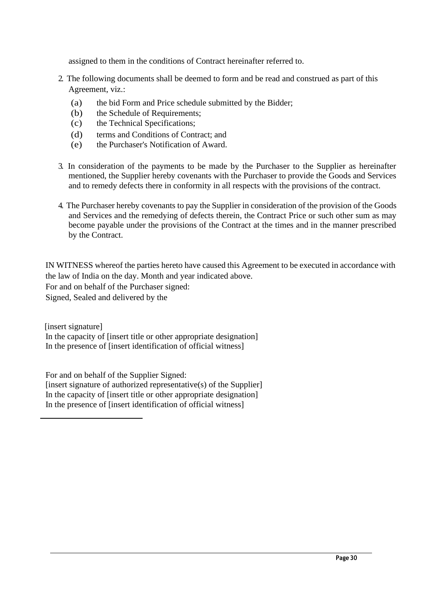assigned to them in the conditions of Contract hereinafter referred to.

- 2. The following documents shall be deemed to form and be read and construed as part of this Agreement, viz.:
	- (a) the bid Form and Price schedule submitted by the Bidder;
	- (b) the Schedule of Requirements;
	- (c) the Technical Specifications;
	- (d) terms and Conditions of Contract; and
	- (e) the Purchaser's Notification of Award.
- 3. In consideration of the payments to be made by the Purchaser to the Supplier as hereinafter mentioned, the Supplier hereby covenants with the Purchaser to provide the Goods and Services and to remedy defects there in conformity in all respects with the provisions of the contract.
- 4. The Purchaser hereby covenants to pay the Supplier in consideration of the provision of the Goods and Services and the remedying of defects therein, the Contract Price or such other sum as may become payable under the provisions of the Contract at the times and in the manner prescribed by the Contract.

IN WITNESS whereof the parties hereto have caused this Agreement to be executed in accordance with the law of India on the day. Month and year indicated above. For and on behalf of the Purchaser signed: Signed, Sealed and delivered by the

[insert signature] In the capacity of [insert title or other appropriate designation] In the presence of [insert identification of official witness]

For and on behalf of the Supplier Signed:  $[insert signature of authorized representative(s) of the Supplementary$ In the capacity of [insert title or other appropriate designation] In the presence of [insert identification of official witness]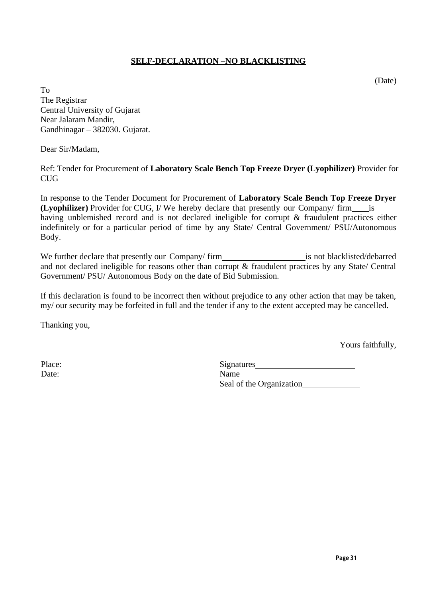### **SELF-DECLARATION –NO BLACKLISTING**

(Date)

To The Registrar Central University of Gujarat Near Jalaram Mandir, Gandhinagar – 382030. Gujarat.

Dear Sir/Madam,

Ref: Tender for Procurement of **Laboratory Scale Bench Top Freeze Dryer (Lyophilizer)** Provider for CUG

In response to the Tender Document for Procurement of **Laboratory Scale Bench Top Freeze Dryer (Lyophilizer)** Provider for CUG, I/ We hereby declare that presently our Company/ firm is having unblemished record and is not declared ineligible for corrupt & fraudulent practices either indefinitely or for a particular period of time by any State/ Central Government/ PSU/Autonomous Body.

We further declare that presently our Company/ firm is not blacklisted/debarred and not declared ineligible for reasons other than corrupt & fraudulent practices by any State/ Central Government/ PSU/ Autonomous Body on the date of Bid Submission.

If this declaration is found to be incorrect then without prejudice to any other action that may be taken, my/ our security may be forfeited in full and the tender if any to the extent accepted may be cancelled.

Thanking you,

Yours faithfully,

| Place: | Signatures               |
|--------|--------------------------|
| Date:  | Name                     |
|        | Seal of the Organization |